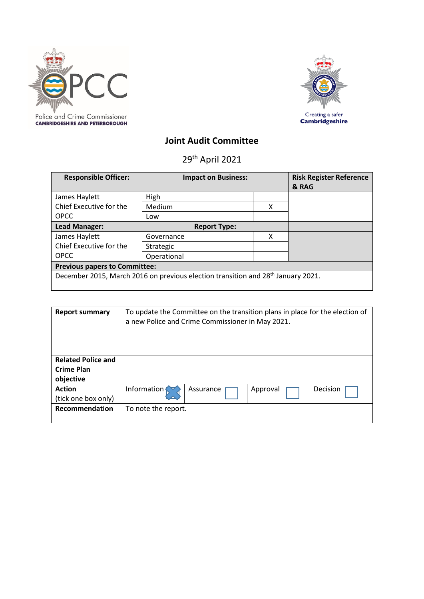



# **Joint Audit Committee**

29th April 2021

| <b>Responsible Officer:</b>                                                                  | <b>Impact on Business:</b> |   | <b>Risk Register Reference</b><br>& RAG |  |  |  |
|----------------------------------------------------------------------------------------------|----------------------------|---|-----------------------------------------|--|--|--|
| James Haylett                                                                                | High                       |   |                                         |  |  |  |
| Chief Executive for the                                                                      | Medium                     | x |                                         |  |  |  |
| <b>OPCC</b>                                                                                  | Low                        |   |                                         |  |  |  |
| Lead Manager:                                                                                | <b>Report Type:</b>        |   |                                         |  |  |  |
| James Haylett                                                                                | Governance                 | x |                                         |  |  |  |
| Chief Executive for the                                                                      | Strategic                  |   |                                         |  |  |  |
| <b>OPCC</b>                                                                                  | Operational                |   |                                         |  |  |  |
| <b>Previous papers to Committee:</b>                                                         |                            |   |                                         |  |  |  |
| December 2015, March 2016 on previous election transition and 28 <sup>th</sup> January 2021. |                            |   |                                         |  |  |  |

| <b>Report summary</b>     | To update the Committee on the transition plans in place for the election of<br>a new Police and Crime Commissioner in May 2021. |           |          |          |  |  |
|---------------------------|----------------------------------------------------------------------------------------------------------------------------------|-----------|----------|----------|--|--|
| <b>Related Police and</b> |                                                                                                                                  |           |          |          |  |  |
| <b>Crime Plan</b>         |                                                                                                                                  |           |          |          |  |  |
| objective                 |                                                                                                                                  |           |          |          |  |  |
| <b>Action</b>             | Information                                                                                                                      | Assurance | Approval | Decision |  |  |
| (tick one box only)       |                                                                                                                                  |           |          |          |  |  |
| <b>Recommendation</b>     | To note the report.                                                                                                              |           |          |          |  |  |
|                           |                                                                                                                                  |           |          |          |  |  |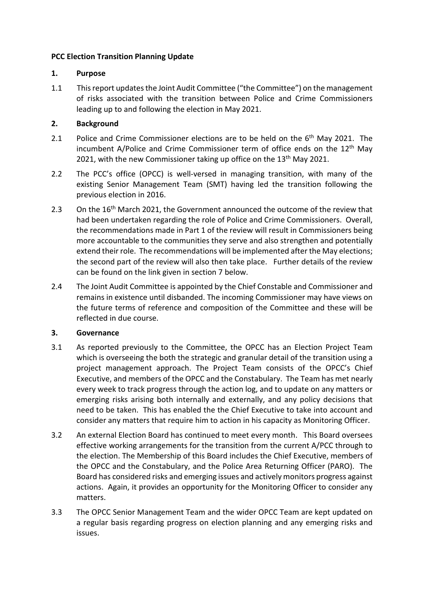# **PCC Election Transition Planning Update**

# **1. Purpose**

1.1 This report updates the Joint Audit Committee ("the Committee") on the management of risks associated with the transition between Police and Crime Commissioners leading up to and following the election in May 2021.

# **2. Background**

- 2.1 Police and Crime Commissioner elections are to be held on the 6<sup>th</sup> May 2021. The incumbent A/Police and Crime Commissioner term of office ends on the 12<sup>th</sup> May 2021, with the new Commissioner taking up office on the 13<sup>th</sup> May 2021.
- 2.2 The PCC's office (OPCC) is well-versed in managing transition, with many of the existing Senior Management Team (SMT) having led the transition following the previous election in 2016.
- 2.3 On the  $16<sup>th</sup>$  March 2021, the Government announced the outcome of the review that had been undertaken regarding the role of Police and Crime Commissioners. Overall, the recommendations made in Part 1 of the review will result in Commissioners being more accountable to the communities they serve and also strengthen and potentially extend their role. The recommendations will be implemented after the May elections; the second part of the review will also then take place. Further details of the review can be found on the link given in section 7 below.
- 2.4 The Joint Audit Committee is appointed by the Chief Constable and Commissioner and remains in existence until disbanded. The incoming Commissioner may have views on the future terms of reference and composition of the Committee and these will be reflected in due course.

#### **3. Governance**

- 3.1 As reported previously to the Committee, the OPCC has an Election Project Team which is overseeing the both the strategic and granular detail of the transition using a project management approach. The Project Team consists of the OPCC's Chief Executive, and members of the OPCC and the Constabulary. The Team has met nearly every week to track progress through the action log, and to update on any matters or emerging risks arising both internally and externally, and any policy decisions that need to be taken. This has enabled the the Chief Executive to take into account and consider any matters that require him to action in his capacity as Monitoring Officer.
- 3.2 An external Election Board has continued to meet every month. This Board oversees effective working arrangements for the transition from the current A/PCC through to the election. The Membership of this Board includes the Chief Executive, members of the OPCC and the Constabulary, and the Police Area Returning Officer (PARO). The Board has considered risks and emerging issues and actively monitors progress against actions. Again, it provides an opportunity for the Monitoring Officer to consider any matters.
- 3.3 The OPCC Senior Management Team and the wider OPCC Team are kept updated on a regular basis regarding progress on election planning and any emerging risks and issues.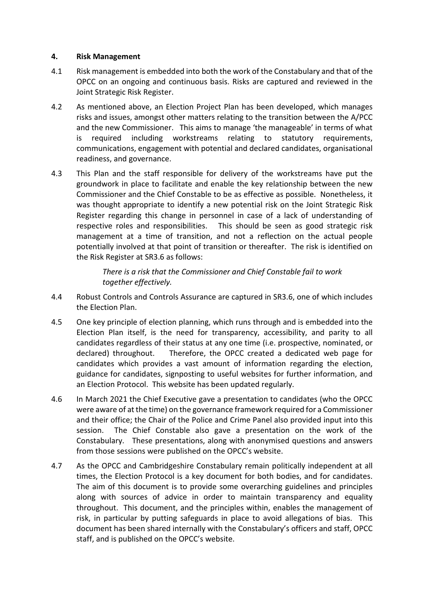#### **4. Risk Management**

- 4.1 Risk management is embedded into both the work of the Constabulary and that of the OPCC on an ongoing and continuous basis. Risks are captured and reviewed in the Joint Strategic Risk Register.
- 4.2 As mentioned above, an Election Project Plan has been developed, which manages risks and issues, amongst other matters relating to the transition between the A/PCC and the new Commissioner. This aims to manage 'the manageable' in terms of what is required including workstreams relating to statutory requirements, communications, engagement with potential and declared candidates, organisational readiness, and governance.
- 4.3 This Plan and the staff responsible for delivery of the workstreams have put the groundwork in place to facilitate and enable the key relationship between the new Commissioner and the Chief Constable to be as effective as possible. Nonetheless, it was thought appropriate to identify a new potential risk on the Joint Strategic Risk Register regarding this change in personnel in case of a lack of understanding of respective roles and responsibilities. This should be seen as good strategic risk management at a time of transition, and not a reflection on the actual people potentially involved at that point of transition or thereafter. The risk is identified on the Risk Register at SR3.6 as follows:

*There is a risk that the Commissioner and Chief Constable fail to work together effectively.*

- 4.4 Robust Controls and Controls Assurance are captured in SR3.6, one of which includes the Election Plan.
- 4.5 One key principle of election planning, which runs through and is embedded into the Election Plan itself, is the need for transparency, accessibility, and parity to all candidates regardless of their status at any one time (i.e. prospective, nominated, or declared) throughout. Therefore, the OPCC created a dedicated web page for candidates which provides a vast amount of information regarding the election, guidance for candidates, signposting to useful websites for further information, and an Election Protocol. This website has been updated regularly.
- 4.6 In March 2021 the Chief Executive gave a presentation to candidates (who the OPCC were aware of at the time) on the governance framework required for a Commissioner and their office; the Chair of the Police and Crime Panel also provided input into this session. The Chief Constable also gave a presentation on the work of the Constabulary. These presentations, along with anonymised questions and answers from those sessions were published on the OPCC's website.
- 4.7 As the OPCC and Cambridgeshire Constabulary remain politically independent at all times, the Election Protocol is a key document for both bodies, and for candidates. The aim of this document is to provide some overarching guidelines and principles along with sources of advice in order to maintain transparency and equality throughout. This document, and the principles within, enables the management of risk, in particular by putting safeguards in place to avoid allegations of bias. This document has been shared internally with the Constabulary's officers and staff, OPCC staff, and is published on the OPCC's website.